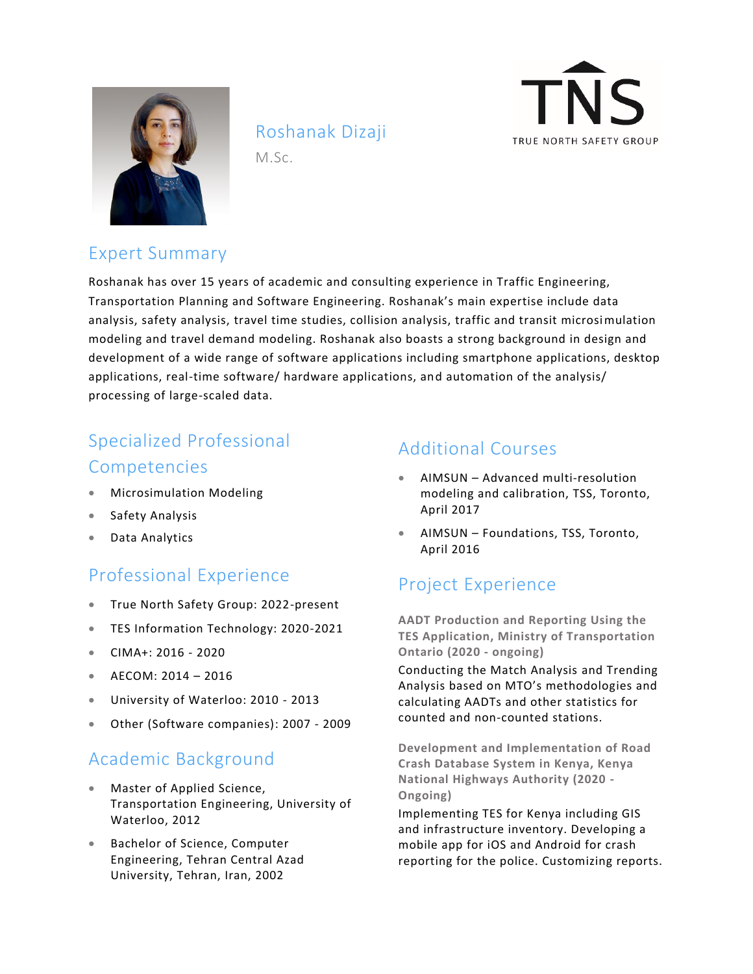

# Roshanak Dizaji

M.Sc.



## Expert Summary

Roshanak has over 15 years of academic and consulting experience in Traffic Engineering, Transportation Planning and Software Engineering. Roshanak's main expertise include data analysis, safety analysis, travel time studies, collision analysis, traffic and transit microsimulation modeling and travel demand modeling. Roshanak also boasts a strong background in design and development of a wide range of software applications including smartphone applications, desktop applications, real-time software/ hardware applications, and automation of the analysis/ processing of large-scaled data.

# Specialized Professional Competencies

- Microsimulation Modeling
- Safety Analysis
- Data Analytics

## Professional Experience

- True North Safety Group: 2022-present
- TES Information Technology: 2020-2021
- CIMA+: 2016 2020
- AECOM: 2014 2016
- University of Waterloo: 2010 2013
- Other (Software companies): 2007 2009

## Academic Background

- Master of Applied Science, Transportation Engineering, University of Waterloo, 2012
- Bachelor of Science, Computer Engineering, Tehran Central Azad University, Tehran, Iran, 2002

### Additional Courses

- AIMSUN Advanced multi-resolution modeling and calibration, TSS, Toronto, April 2017
- AIMSUN Foundations, TSS, Toronto, April 2016

## Project Experience

**AADT Production and Reporting Using the TES Application, Ministry of Transportation Ontario (2020 - ongoing)**

Conducting the Match Analysis and Trending Analysis based on MTO's methodologies and calculating AADTs and other statistics for counted and non-counted stations.

**Development and Implementation of Road Crash Database System in Kenya, Kenya National Highways Authority (2020 - Ongoing)**

Implementing TES for Kenya including GIS and infrastructure inventory. Developing a mobile app for iOS and Android for crash reporting for the police. Customizing reports.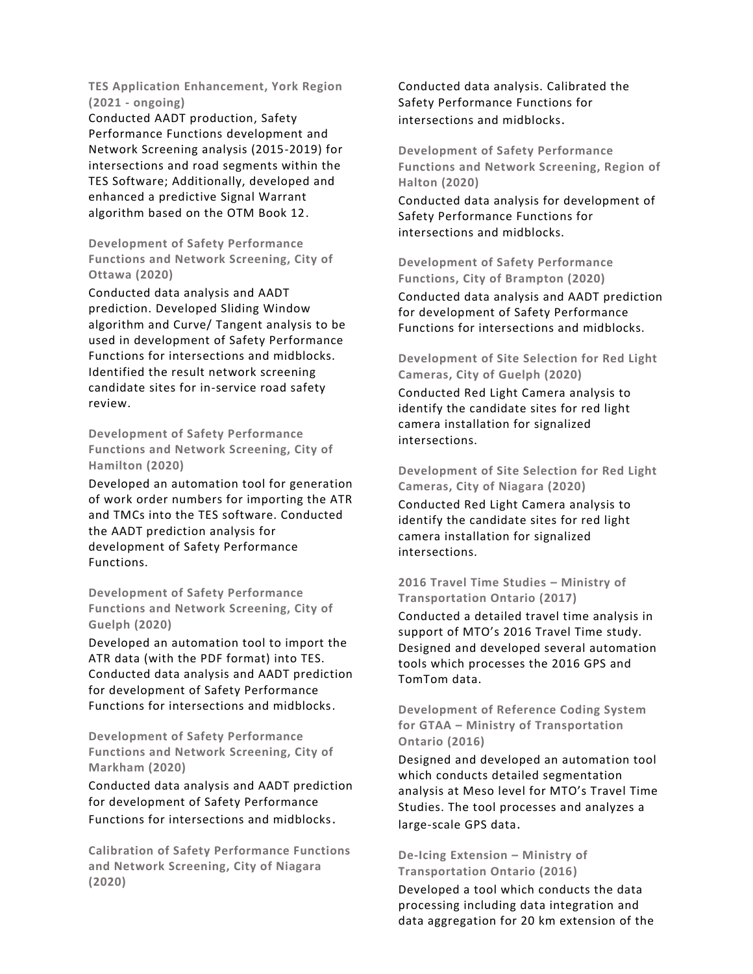**TES Application Enhancement, York Region (2021 - ongoing)**

Conducted AADT production, Safety Performance Functions development and Network Screening analysis (2015-2019) for intersections and road segments within the TES Software; Additionally, developed and enhanced a predictive Signal Warrant algorithm based on the OTM Book 12.

**Development of Safety Performance Functions and Network Screening, City of Ottawa (2020)**

Conducted data analysis and AADT prediction. Developed Sliding Window algorithm and Curve/ Tangent analysis to be used in development of Safety Performance Functions for intersections and midblocks. Identified the result network screening candidate sites for in-service road safety review.

**Development of Safety Performance Functions and Network Screening, City of Hamilton (2020)**

Developed an automation tool for generation of work order numbers for importing the ATR and TMCs into the TES software. Conducted the AADT prediction analysis for development of Safety Performance Functions.

**Development of Safety Performance Functions and Network Screening, City of Guelph (2020)**

Developed an automation tool to import the ATR data (with the PDF format) into TES. Conducted data analysis and AADT prediction for development of Safety Performance Functions for intersections and midblocks.

**Development of Safety Performance Functions and Network Screening, City of Markham (2020)**

Conducted data analysis and AADT prediction for development of Safety Performance Functions for intersections and midblocks.

**Calibration of Safety Performance Functions and Network Screening, City of Niagara (2020)**

Conducted data analysis. Calibrated the Safety Performance Functions for intersections and midblocks.

**Development of Safety Performance Functions and Network Screening, Region of Halton (2020)** 

Conducted data analysis for development of Safety Performance Functions for intersections and midblocks.

**Development of Safety Performance Functions, City of Brampton (2020)** 

Conducted data analysis and AADT prediction for development of Safety Performance Functions for intersections and midblocks.

**Development of Site Selection for Red Light Cameras, City of Guelph (2020)** Conducted Red Light Camera analysis to identify the candidate sites for red light camera installation for signalized intersections.

**Development of Site Selection for Red Light Cameras, City of Niagara (2020)**

Conducted Red Light Camera analysis to identify the candidate sites for red light camera installation for signalized intersections.

### **2016 Travel Time Studies – Ministry of Transportation Ontario (2017)**

Conducted a detailed travel time analysis in support of MTO's 2016 Travel Time study. Designed and developed several automation tools which processes the 2016 GPS and TomTom data.

**Development of Reference Coding System for GTAA – Ministry of Transportation Ontario (2016)** 

Designed and developed an automation tool which conducts detailed segmentation analysis at Meso level for MTO's Travel Time Studies. The tool processes and analyzes a large-scale GPS data.

### **De-Icing Extension – Ministry of Transportation Ontario (2016)**

Developed a tool which conducts the data processing including data integration and data aggregation for 20 km extension of the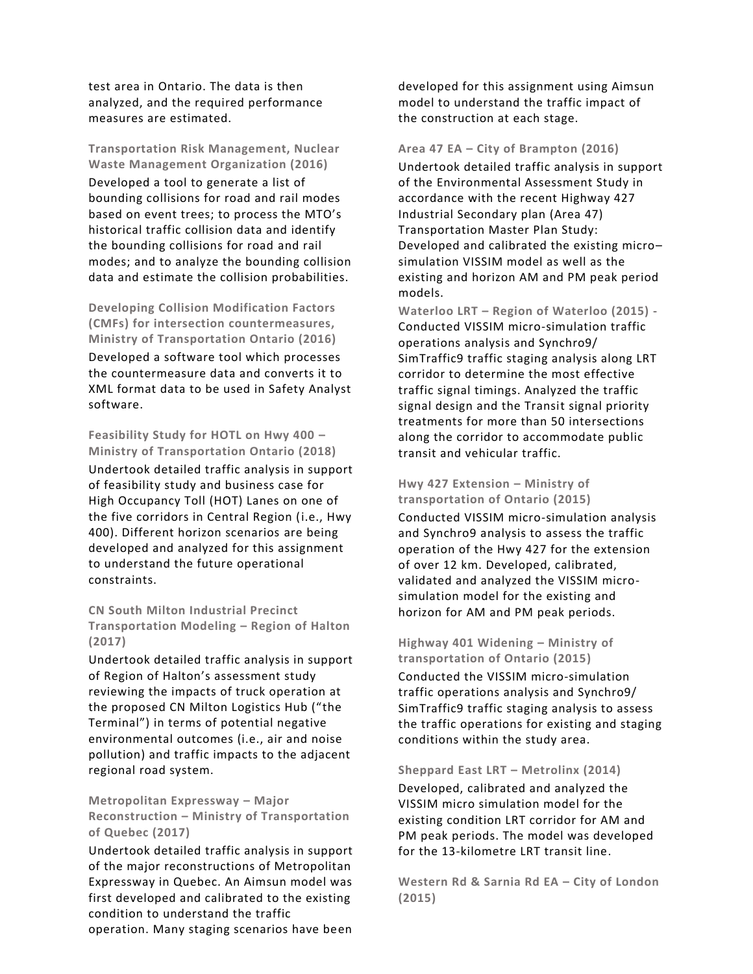test area in Ontario. The data is then analyzed, and the required performance measures are estimated.

**Transportation Risk Management, Nuclear Waste Management Organization (2016)** Developed a tool to generate a list of bounding collisions for road and rail modes based on event trees; to process the MTO's historical traffic collision data and identify the bounding collisions for road and rail modes; and to analyze the bounding collision data and estimate the collision probabilities.

**Developing Collision Modification Factors (CMFs) for intersection countermeasures, Ministry of Transportation Ontario (2016)** Developed a software tool which processes the countermeasure data and converts it to XML format data to be used in Safety Analyst software.

**Feasibility Study for HOTL on Hwy 400 – Ministry of Transportation Ontario (2018)** Undertook detailed traffic analysis in support of feasibility study and business case for High Occupancy Toll (HOT) Lanes on one of the five corridors in Central Region (i.e., Hwy 400). Different horizon scenarios are being developed and analyzed for this assignment to understand the future operational constraints.

**CN South Milton Industrial Precinct Transportation Modeling – Region of Halton (2017)** 

Undertook detailed traffic analysis in support of Region of Halton's assessment study reviewing the impacts of truck operation at the proposed CN Milton Logistics Hub ("the Terminal") in terms of potential negative environmental outcomes (i.e., air and noise pollution) and traffic impacts to the adjacent regional road system.

**Metropolitan Expressway – Major Reconstruction – Ministry of Transportation of Quebec (2017)** 

Undertook detailed traffic analysis in support of the major reconstructions of Metropolitan Expressway in Quebec. An Aimsun model was first developed and calibrated to the existing condition to understand the traffic

operation. Many staging scenarios have been

developed for this assignment using Aimsun model to understand the traffic impact of the construction at each stage.

**Area 47 EA – City of Brampton (2016)**  Undertook detailed traffic analysis in support of the Environmental Assessment Study in accordance with the recent Highway 427 Industrial Secondary plan (Area 47) Transportation Master Plan Study: Developed and calibrated the existing micro– simulation VISSIM model as well as the existing and horizon AM and PM peak period models.

**Waterloo LRT – Region of Waterloo (2015) -** Conducted VISSIM micro-simulation traffic operations analysis and Synchro9/ SimTraffic9 traffic staging analysis along LRT corridor to determine the most effective traffic signal timings. Analyzed the traffic signal design and the Transit signal priority treatments for more than 50 intersections along the corridor to accommodate public transit and vehicular traffic.

#### **Hwy 427 Extension – Ministry of transportation of Ontario (2015)**

Conducted VISSIM micro-simulation analysis and Synchro9 analysis to assess the traffic operation of the Hwy 427 for the extension of over 12 km. Developed, calibrated, validated and analyzed the VISSIM microsimulation model for the existing and horizon for AM and PM peak periods.

**Highway 401 Widening – Ministry of transportation of Ontario (2015)** 

Conducted the VISSIM micro-simulation traffic operations analysis and Synchro9/ SimTraffic9 traffic staging analysis to assess the traffic operations for existing and staging conditions within the study area.

#### **Sheppard East LRT – Metrolinx (2014)**

Developed, calibrated and analyzed the VISSIM micro simulation model for the existing condition LRT corridor for AM and PM peak periods. The model was developed for the 13-kilometre LRT transit line.

**Western Rd & Sarnia Rd EA – City of London (2015)**